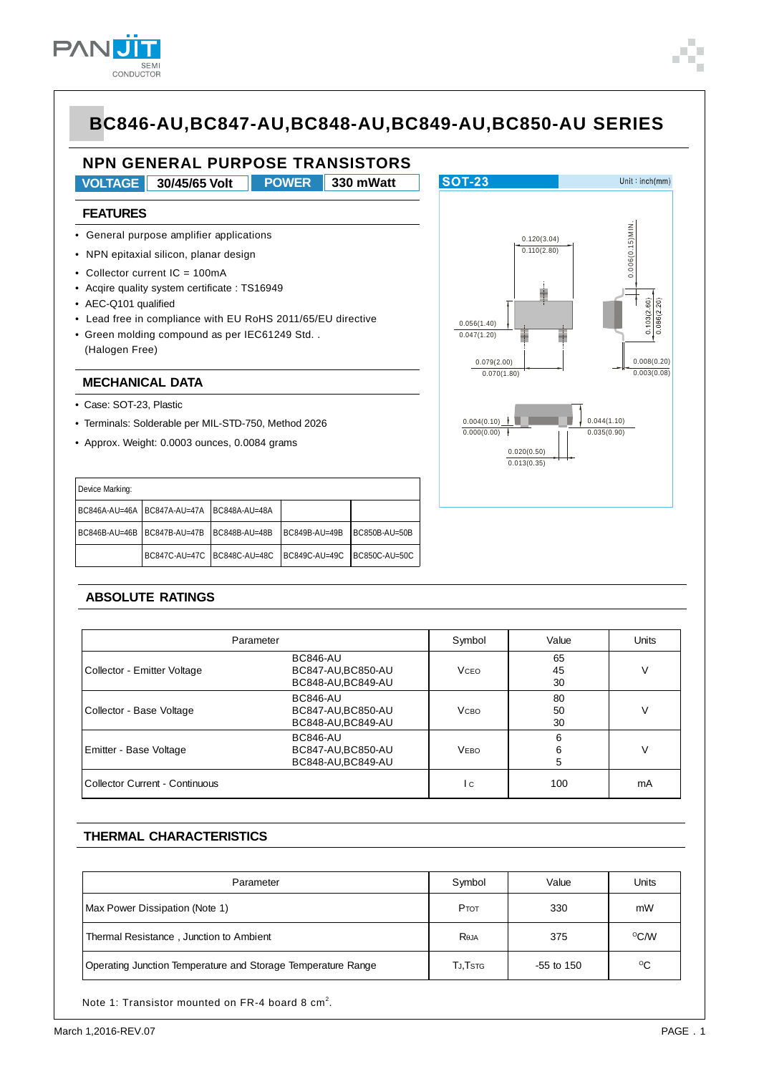

## **NPN GENERAL PURPOSE TRANSISTORS**

**VOLTAGE 30/45/65 Volt 330 mWatt POWER**

#### **FEATURES**

- General purpose amplifier applications
- NPN epitaxial silicon, planar design
- Collector current IC = 100mA
- Acqire quality system certificate : TS16949
- AEC-Q101 qualified
- Lead free in compliance with EU RoHS 2011/65/EU directive
- Green molding compound as per IEC61249 Std. . (Halogen Free)

#### **MECHANICAL DATA**

- Case: SOT-23, Plastic
- Terminals: Solderable per MIL-STD-750, Method 2026
- Approx. Weight: 0.0003 ounces, 0.0084 grams

| Terminals: Solderable per MIL-STD-750, Method 2026 |                             |               |               |               |  |  |  |
|----------------------------------------------------|-----------------------------|---------------|---------------|---------------|--|--|--|
| Approx. Weight: 0.0003 ounces, 0.0084 grams        |                             |               |               |               |  |  |  |
|                                                    |                             |               |               |               |  |  |  |
| Device Marking:                                    |                             |               |               |               |  |  |  |
|                                                    | BC846A-AU=46A BC847A-AU=47A | BC848A-AU=48A |               |               |  |  |  |
| BC846B-AU=46B                                      | BC847B-AU=47B               | BC848B-AU=48B | BC849B-AU=49B | BC850B-AU=50B |  |  |  |
|                                                    | BC847C-AU=47C BC848C-AU=48C |               | BC849C-AU=49C | BC850C-AU=50C |  |  |  |



#### **ABSOLUTE RATINGS**

| Parameter                      | Symbol                                                      | Value       | <b>Units</b>   |    |
|--------------------------------|-------------------------------------------------------------|-------------|----------------|----|
| Collector - Emitter Voltage    | <b>BC846-AU</b><br>BC847-AU, BC850-AU<br>BC848-AU, BC849-AU | <b>VCEO</b> | 65<br>45<br>30 | V  |
| Collector - Base Voltage       | <b>BC846-AU</b><br>BC847-AU, BC850-AU<br>BC848-AU, BC849-AU | <b>VCBO</b> | 80<br>50<br>30 | V  |
| Emitter - Base Voltage         | <b>BC846-AU</b><br>BC847-AU, BC850-AU<br>BC848-AU, BC849-AU | <b>VEBO</b> | 6<br>6<br>5    | V  |
| Collector Current - Continuous |                                                             | I c         | 100            | mA |
| <b>Peak Collector Current</b>  |                                                             | 'cм         | 200            | mA |

#### **THERMAL CHARACTERISTICS**

| Parameter                                                    | Symbol  | Value        | Units        |
|--------------------------------------------------------------|---------|--------------|--------------|
| Max Power Dissipation (Note 1)                               | PTOT    | 330          | mW           |
| Thermal Resistance, Junction to Ambient                      | Reja    | 375          | $\rm ^{O}CN$ |
| Operating Junction Temperature and Storage Temperature Range | TJ,Tstg | $-55$ to 150 | ℃            |

Note 1: Transistor mounted on FR-4 board 8  $cm<sup>2</sup>$ .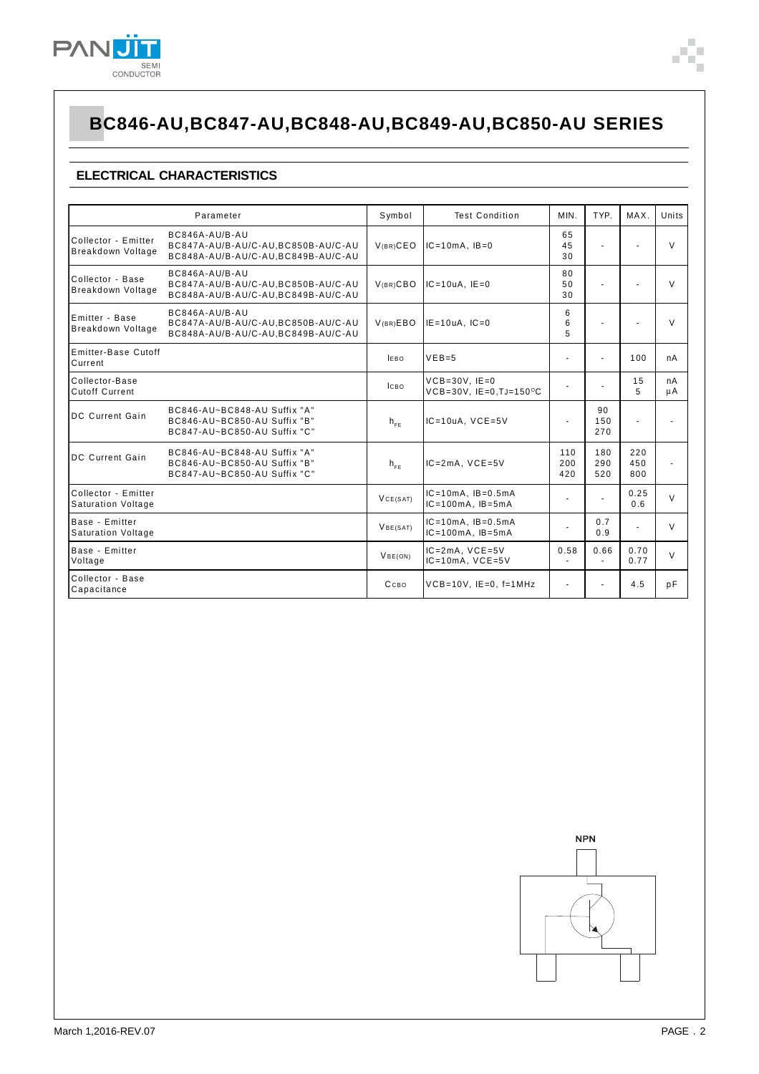

# **BC846-AU,BC847-AU,BC848-AU,BC849-AU,BC850-AU SERIES**

### **ELECTRICAL CHARACTERISTICS**

|                                                  | Parameter                                                                                    | Symbol                    | <b>Test Condition</b>                                                  | MIN.              | TYP.                     | MAX.              | Units    |
|--------------------------------------------------|----------------------------------------------------------------------------------------------|---------------------------|------------------------------------------------------------------------|-------------------|--------------------------|-------------------|----------|
| Collector - Emitter<br>Breakdown Voltage         | BC846A-AU/B-AU<br>BC847A-AU/B-AU/C-AU, BC850B-AU/C-AU<br>BC848A-AU/B-AU/C-AU, BC849B-AU/C-AU | $V(BR)$ CEO               | $IC = 10mA$ , $IB = 0$                                                 | 65<br>45<br>30    | $\blacksquare$           |                   | V        |
| Collector - Base<br>Breakdown Voltage            | BC846A-AU/B-AU<br>BC847A-AU/B-AU/C-AU.BC850B-AU/C-AU<br>BC848A-AU/B-AU/C-AU, BC849B-AU/C-AU  | V <sub>(BR)</sub> CBO     | $IC = 10uA$ , $IE = 0$                                                 | 80<br>50<br>30    | ÷                        |                   | $\vee$   |
| Emitter - Base<br>Breakdown Voltage              | BC846A-AU/B-AU<br>BC847A-AU/B-AU/C-AU.BC850B-AU/C-AU<br>BC848A-AU/B-AU/C-AU,BC849B-AU/C-AU   | V(BR)EBO                  | $IE = 1 uA$ , $IC = 0$                                                 | 6<br>6<br>5       |                          |                   | $\vee$   |
| Emitter-Base Cutoff<br>Current                   |                                                                                              | <b>IEBO</b>               | $VEB=5$                                                                |                   | ٠                        | 100               | nA       |
| Collector-Base<br><b>Cutoff Current</b>          |                                                                                              | Ісво                      | $VCB = 30V$ . $IE = 0$<br>$VCB = 30V$ , $IE = 0$ , $TJ = 150^{\circ}C$ |                   |                          | 15<br>5           | nA<br>μA |
| <b>DC Current Gain</b>                           | BC846-AU~BC848-AU Suffix "A"<br>BC846-AU~BC850-AU Suffix "B"<br>BC847-AU~BC850-AU Suffix "C" | $h_{\varepsilon_{\rm F}}$ | $IC = 10uA$ , $VCE = 5V$                                               |                   | 90<br>150<br>270         | ٠                 |          |
| <b>DC Current Gain</b>                           | BC846-AU~BC848-AU Suffix "A"<br>BC846-AU~BC850-AU Suffix "B"<br>BC847-AU~BC850-AU Suffix "C" | $h_{FF}$                  | $IC = 2mA$ , $VCE = 5V$                                                | 110<br>200<br>420 | 180<br>290<br>520        | 220<br>450<br>800 |          |
| Collector - Emitter<br><b>Saturation Voltage</b> |                                                                                              | VCE(SAT)                  | $IC = 10mA$ , $IB = 0.5mA$<br>$IC = 100mA$ , $IB = 5mA$                |                   | $\overline{\phantom{a}}$ | 0.25<br>0.6       | $\vee$   |
| Base - Emitter<br><b>Saturation Voltage</b>      |                                                                                              | VBE(SAT)                  | $IC = 10mA$ . $IB = 0.5mA$<br>$IC = 100mA$ , $IB = 5mA$                | $\blacksquare$    | 0.7<br>0.9               | $\blacksquare$    | V        |
| Base - Emitter<br>Voltage                        |                                                                                              | VBE(ON)                   | $IC = 2mA$ , $VCE = 5V$<br>$IC = 10mA$ , $VCE = 5V$                    | 0.58              | 0.66                     | 0.70<br>0.77      | $\vee$   |
| Collector - Base<br>Capacitance                  |                                                                                              | Ссво                      | $VCB = 10V$ , $IE = 0$ , $f = 1MHz$                                    | $\blacksquare$    | ٠                        | 4.5               | pF       |